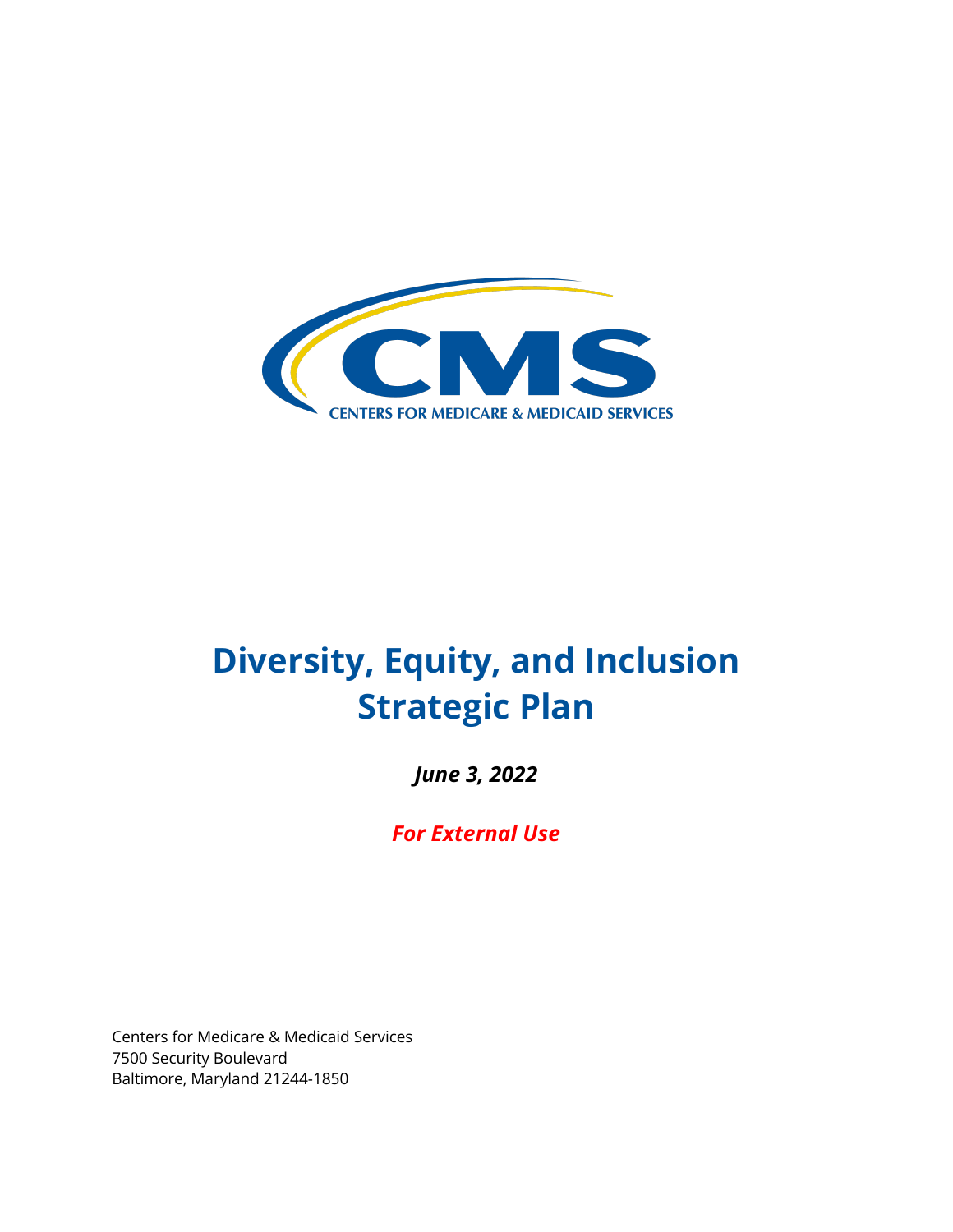

# **Diversity, Equity, and Inclusion Strategic Plan**

June 3, 2022

 *June 3, 2022 For External Use* 

 Centers for Medicare & Medicaid Services 7500 Security Boulevard Baltimore, Maryland 21244-1850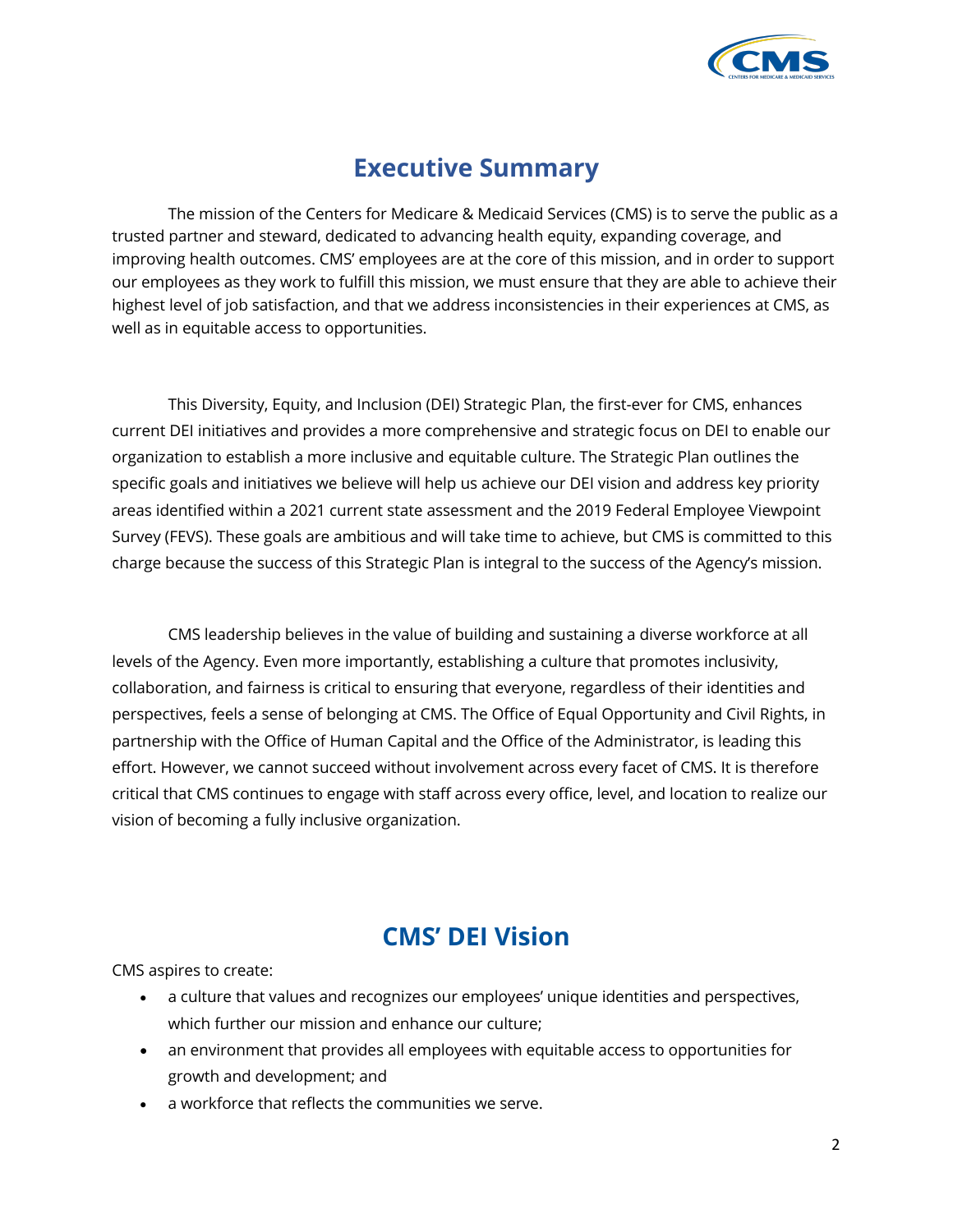

# **Executive Summary**

 The mission of the Centers for Medicare & Medicaid Services (CMS) is to serve the public as a trusted partner and steward, dedicated to advancing health equity, expanding coverage, and our employees as they work to fulfill this mission, we must ensure that they are able to achieve their highest level of job satisfaction, and that we address inconsistencies in their experiences at CMS, as well as in equitable access to opportunities. improving health outcomes. CMS' employees are at the core of this mission, and in order to support

 This Diversity, Equity, and Inclusion (DEI) Strategic Plan, the first-ever for CMS, enhances current DEI initiatives and provides a more comprehensive and strategic focus on DEI to enable our areas identified within a 2021 current state assessment and the 2019 Federal Employee Viewpoint Survey (FEVS). These goals are ambitious and will take time to achieve, but CMS is committed to this charge because the success of this Strategic Plan is integral to the success of the Agency's mission. organization to establish a more inclusive and equitable culture. The Strategic Plan outlines the specific goals and initiatives we believe will help us achieve our DEI vision and address key priority

 CMS leadership believes in the value of building and sustaining a diverse workforce at all levels of the Agency. Even more importantly, establishing a culture that promotes inclusivity, collaboration, and fairness is critical to ensuring that everyone, regardless of their identities and perspectives, feels a sense of belonging at CMS. The Office of Equal Opportunity and Civil Rights, in partnership with the Office of Human Capital and the Office of the Administrator, is leading this effort. However, we cannot succeed without involvement across every facet of CMS. It is therefore critical that CMS continues to engage with staff across every office, level, and location to realize our vision of becoming a fully inclusive organization.

# **CMS' DEI Vision**

CMS aspires to create:

- a culture that values and recognizes our employees' unique identities and perspectives, which further our mission and enhance our culture;
- an environment that provides all employees with equitable access to opportunities for growth and development; and
- a workforce that reflects the communities we serve.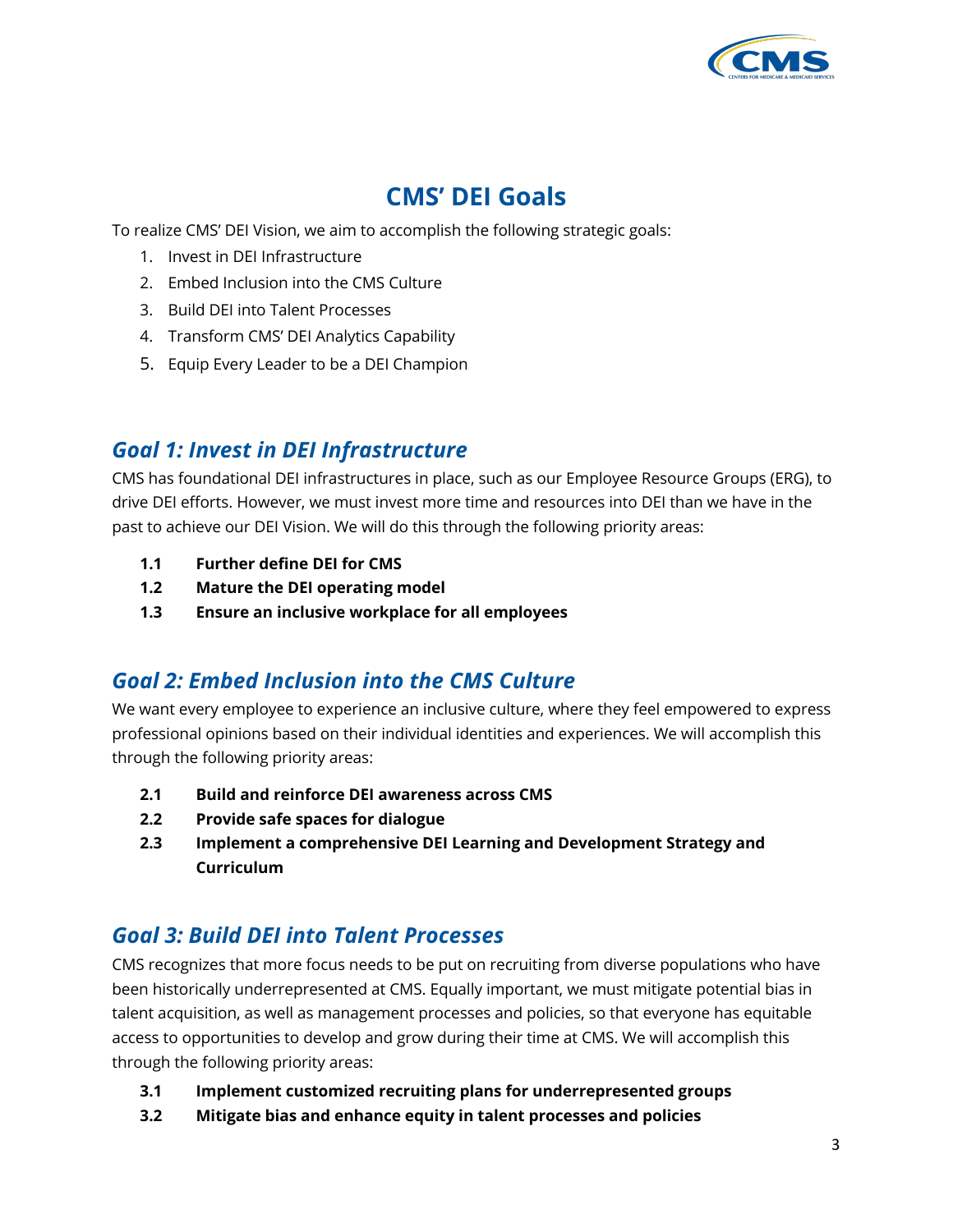

# **CMS' DEI Goals**

To realize CMS' DEI Vision, we aim to accomplish the following strategic goals:

- 1. Invest in DEI Infrastructure
- 2. Embed Inclusion into the CMS Culture
- 3. Build DEI into Talent Processes
- 4. Transform CMS' DEI Analytics Capability
- 5. Equip Every Leader to be a DEI Champion

#### *Goal 1: Invest in DEI Infrastructure*

 CMS has foundational DEI infrastructures in place, such as our Employee Resource Groups (ERG), to drive DEI efforts. However, we must invest more time and resources into DEI than we have in the past to achieve our DEI Vision. We will do this through the following priority areas:

- **1.1 Further define DEI for CMS**
- **1.2 Mature the DEI operating model**
- **1.3 Ensure an inclusive workplace for all employees**

#### *Goal 2: Embed Inclusion into the CMS Culture*

 We want every employee to experience an inclusive culture, where they feel empowered to express professional opinions based on their individual identities and experiences. We will accomplish this through the following priority areas:

- **2.1 Build and reinforce DEI awareness across CMS**
- **2.2 Provide safe spaces for dialogue**
- **2.3 Implement a comprehensive DEI Learning and Development Strategy and Curriculum**

## *Goal 3: Build DEI into Talent Processes*

 CMS recognizes that more focus needs to be put on recruiting from diverse populations who have been historically underrepresented at CMS. Equally important, we must mitigate potential bias in talent acquisition, as well as management processes and policies, so that everyone has equitable access to opportunities to develop and grow during their time at CMS. We will accomplish this through the following priority areas:

- **3.1 Implement customized recruiting plans for underrepresented groups**
- **3.2 Mitigate bias and enhance equity in talent processes and policies**